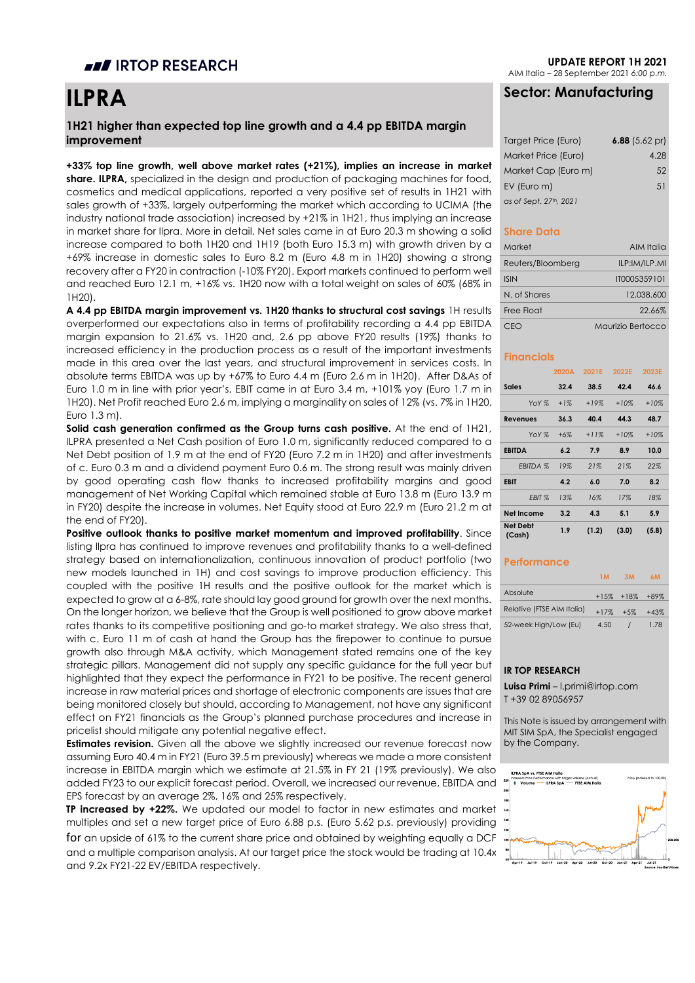## **III** IRTOP RESEARCH

# **ILPRA**

### **1H21 higher than expected top line growth and a 4.4 pp EBITDA margin improvement**

**+33% top line growth, well above market rates (+21%), implies an increase in market share. ILPRA,** specialized in the design and production of packaging machines for food, cosmetics and medical applications, reported a very positive set of results in 1H21 with sales growth of +33%, largely outperforming the market which according to UCIMA (the industry national trade association) increased by +21% in 1H21, thus implying an increase in market share for Ilpra. More in detail, Net sales came in at Euro 20.3 m showing a solid increase compared to both 1H20 and 1H19 (both Euro 15.3 m) with growth driven by a +69% increase in domestic sales to Euro 8.2 m (Euro 4.8 m in 1H20) showing a strong recovery after a FY20 in contraction (-10% FY20). Export markets continued to perform well and reached Euro 12.1 m, +16% vs. 1H20 now with a total weight on sales of 60% (68% in 1H20).

A 4.4 pp EBITDA margin improvement vs. 1H20 thanks to structural cost savings 1H results overperformed our expectations also in terms of profitability recording a 4.4 pp EBITDA margin expansion to 21.6% vs. 1H20 and, 2.6 pp above FY20 results (19%) thanks to increased efficiency in the production process as a result of the important investments made in this area over the last years, and structural improvement in services costs. In absolute terms EBITDA was up by +67% to Euro 4.4 m (Euro 2.6 m in 1H20). After D&As of Euro 1.0 m in line with prior year's, EBIT came in at Euro 3.4 m, +101% yoy (Euro 1.7 m in 1H20). Net Profit reached Euro 2.6 m, implying a marginality on sales of 12% (vs. 7% in 1H20, Euro 1.3 m).

**Solid cash generation confirmed as the Group turns cash positive.** At the end of 1H21, ILPRA presented a Net Cash position of Euro 1.0 m, significantly reduced compared to a Net Debt position of 1.9 m at the end of FY20 (Euro 7.2 m in 1H20) and after investments of c. Euro 0.3 m and a dividend payment Euro 0.6 m. The strong result was mainly driven by good operating cash flow thanks to increased profitability margins and good management of Net Working Capital which remained stable at Euro 13.8 m (Euro 13.9 m in FY20) despite the increase in volumes. Net Equity stood at Euro 22.9 m (Euro 21.2 m at the end of FY20).

**Positive outlook thanks to positive market momentum and improved profitability**. Since listing Ilpra has continued to improve revenues and profitability thanks to a well-defined strategy based on internationalization, continuous innovation of product portfolio (two new models launched in 1H) and cost savings to improve production efficiency. This coupled with the positive 1H results and the positive outlook for the market which is expected to grow at a 6-8%, rate should lay good ground for growth over the next months. On the longer horizon, we believe that the Group is well positioned to grow above market rates thanks to its competitive positioning and go-to market strategy. We also stress that, with c. Euro 11 m of cash at hand the Group has the firepower to continue to pursue growth also through M&A activity, which Management stated remains one of the key strategic pillars. Management did not supply any specific guidance for the full year but highlighted that they expect the performance in FY21 to be positive. The recent general increase in raw material prices and shortage of electronic components are issues that are being monitored closely but should, according to Management, not have any significant effect on FY21 financials as the Group's planned purchase procedures and increase in pricelist should mitigate any potential negative effect.

**Estimates revision.** Given all the above we slightly increased our revenue forecast now assuming Euro 40.4 m in FY21 (Euro 39.5 m previously) whereas we made a more consistent increase in EBITDA margin which we estimate at 21.5% in FY 21 (19% previously). We also added FY23 to our explicit forecast period. Overall, we increased our revenue, EBITDA and EPS forecast by an average 2%, 16% and 25% respectively.

**TP increased by +22%.** We updated our model to factor in new estimates and market  $\cdot$ multiples and set a new target price of Euro 6.88 p.s. (Euro 5.62 p.s. previously) providing for an upside of 61% to the current share price and obtained by weighting equally a DCF and a multiple comparison analysis. At our target price the stock would be trading at 10.4x and 9.2x FY21-22 EV/EBITDA respectively.

**UPDATE REPORT 1H 2021**

AIM Italia – 28 September 2021 *6:00 p.m.*

## **Sector: Manufacturing**

| Target Price (Euro)    | 6.88 $(5.62 \text{ pr})$ |
|------------------------|--------------------------|
| Market Price (Euro)    | 4.28                     |
| Market Cap (Euro m)    | 52                       |
| EV (Euro m)            | 51                       |
| as of Sept. 27th, 2021 |                          |

#### **Share Data**

| Market            | AIM Italia        |
|-------------------|-------------------|
| Reuters/Bloomberg | ILP:IM/ILP.MI     |
| <b>ISIN</b>       | IT0005359101      |
| N of Shares       | 12.038.600        |
| Free Float        | 22,66%            |
| ົ'⊢()             | Maurizio Bertocco |

#### **Financials**

|                           | 2020A  | 2021E  | 2022E  | 2023E  |
|---------------------------|--------|--------|--------|--------|
| <b>Sales</b>              | 32.4   | 38.5   | 42.4   | 46.6   |
| YoY %                     | $+1\%$ | $+19%$ | $+10%$ | $+10%$ |
| <b>Revenues</b>           | 36.3   | 40.4   | 44.3   | 48.7   |
| YoY %                     | $+6%$  | $+11%$ | $+10%$ | $+10%$ |
| <b>EBITDA</b>             | 6.2    | 7.9    | 8.9    | 10.0   |
| <b>EBITDA %</b>           | 19%    | 21%    | 21%    | 22%    |
| <b>EBIT</b>               | 4.2    | 6.0    | 7.0    | 8.2    |
| EBIT %                    | 13%    | 16%    | 17%    | 18%    |
| <b>Net Income</b>         | 3.2    | 4.3    | 5.1    | 5.9    |
| <b>Net Debt</b><br>(Cash) | 1.9    | (1.2)  | (3.0)  | (5.8)  |

#### **Performance**

|                            |        | 3M                  | 6M     |
|----------------------------|--------|---------------------|--------|
| Absolute                   |        | $+15\% +18\% +89\%$ |        |
| Relative (FTSE AIM Italia) | $+17%$ | $+5%$               | $+43%$ |
| 52-week High/Low (Eu)      | 4.50   |                     | 1.78   |

#### **IR TOP RESEARCH**

**Luisa Primi** – l.primi@irtop.com T +39 02 89056957

This Note is issued by arrangement with MIT SIM SpA, the Specialist engaged by the Company.